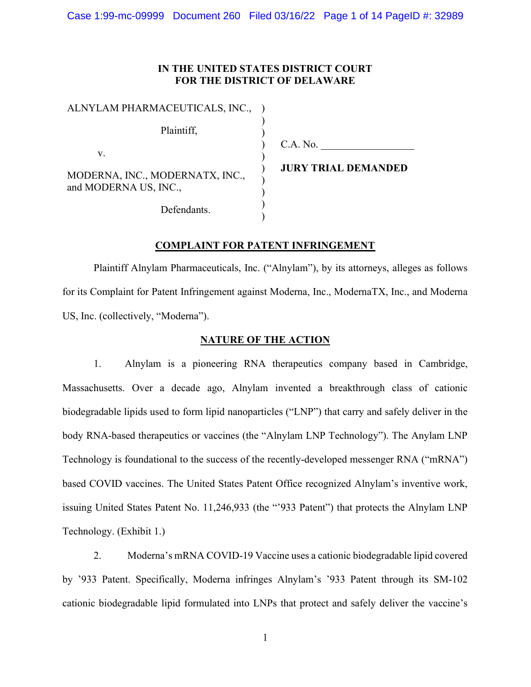## IN THE UNITED STATES DISTRICT COURT FOR THE DISTRICT OF DELAWARE

| ALNYLAM PHARMACEUTICALS, INC.,                           |  |
|----------------------------------------------------------|--|
| Plaintiff.                                               |  |
| V.                                                       |  |
| MODERNA, INC., MODERNATX, INC.,<br>and MODERNA US, INC., |  |
| Defendants.                                              |  |

C.A. No.

JURY TRIAL DEMANDED

# COMPLAINT FOR PATENT INFRINGEMENT

 Plaintiff Alnylam Pharmaceuticals, Inc. ("Alnylam"), by its attorneys, alleges as follows for its Complaint for Patent Infringement against Moderna, Inc., ModernaTX, Inc., and Moderna US, Inc. (collectively, "Moderna").

# NATURE OF THE ACTION

1. Alnylam is a pioneering RNA therapeutics company based in Cambridge, Massachusetts. Over a decade ago, Alnylam invented a breakthrough class of cationic biodegradable lipids used to form lipid nanoparticles ("LNP") that carry and safely deliver in the body RNA-based therapeutics or vaccines (the "Alnylam LNP Technology"). The Anylam LNP Technology is foundational to the success of the recently-developed messenger RNA ("mRNA") based COVID vaccines. The United States Patent Office recognized Alnylam's inventive work, issuing United States Patent No. 11,246,933 (the "'933 Patent") that protects the Alnylam LNP Technology. (Exhibit 1.)

2. Moderna's mRNA COVID-19 Vaccine uses a cationic biodegradable lipid covered by '933 Patent. Specifically, Moderna infringes Alnylam's '933 Patent through its SM-102 cationic biodegradable lipid formulated into LNPs that protect and safely deliver the vaccine's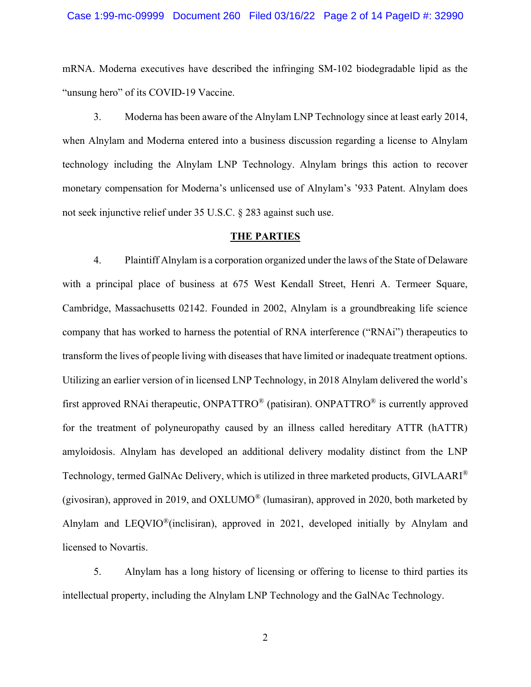#### Case 1:99-mc-09999 Document 260 Filed 03/16/22 Page 2 of 14 PageID #: 32990

mRNA. Moderna executives have described the infringing SM-102 biodegradable lipid as the "unsung hero" of its COVID-19 Vaccine.

3. Moderna has been aware of the Alnylam LNP Technology since at least early 2014, when Alnylam and Moderna entered into a business discussion regarding a license to Alnylam technology including the Alnylam LNP Technology. Alnylam brings this action to recover monetary compensation for Moderna's unlicensed use of Alnylam's '933 Patent. Alnylam does not seek injunctive relief under 35 U.S.C. § 283 against such use.

### THE PARTIES

4. Plaintiff Alnylam is a corporation organized under the laws of the State of Delaware with a principal place of business at 675 West Kendall Street, Henri A. Termeer Square, Cambridge, Massachusetts 02142. Founded in 2002, Alnylam is a groundbreaking life science company that has worked to harness the potential of RNA interference ("RNAi") therapeutics to transform the lives of people living with diseases that have limited or inadequate treatment options. Utilizing an earlier version of in licensed LNP Technology, in 2018 Alnylam delivered the world's first approved RNAi therapeutic, ONPATTRO® (patisiran). ONPATTRO® is currently approved for the treatment of polyneuropathy caused by an illness called hereditary ATTR (hATTR) amyloidosis. Alnylam has developed an additional delivery modality distinct from the LNP Technology, termed GalNAc Delivery, which is utilized in three marketed products, GIVLAARI® (givosiran), approved in 2019, and OXLUMO® (lumasiran), approved in 2020, both marketed by Alnylam and LEQVIO®(inclisiran), approved in 2021, developed initially by Alnylam and licensed to Novartis.

5. Alnylam has a long history of licensing or offering to license to third parties its intellectual property, including the Alnylam LNP Technology and the GalNAc Technology.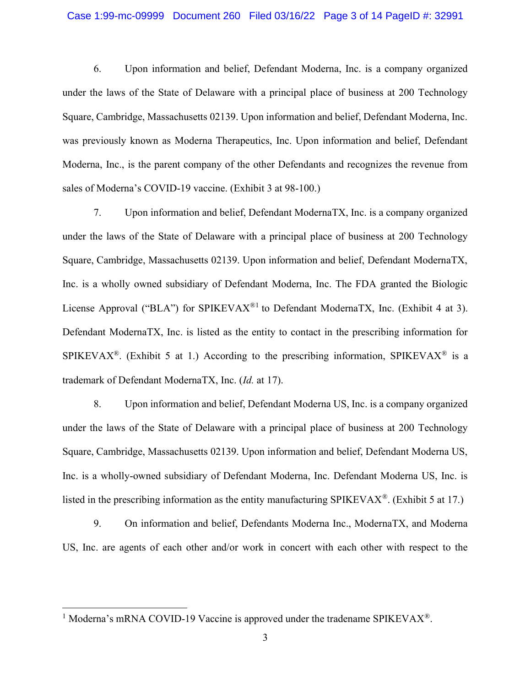#### Case 1:99-mc-09999 Document 260 Filed 03/16/22 Page 3 of 14 PageID #: 32991

6. Upon information and belief, Defendant Moderna, Inc. is a company organized under the laws of the State of Delaware with a principal place of business at 200 Technology Square, Cambridge, Massachusetts 02139. Upon information and belief, Defendant Moderna, Inc. was previously known as Moderna Therapeutics, Inc. Upon information and belief, Defendant Moderna, Inc., is the parent company of the other Defendants and recognizes the revenue from sales of Moderna's COVID-19 vaccine. (Exhibit 3 at 98-100.)

7. Upon information and belief, Defendant ModernaTX, Inc. is a company organized under the laws of the State of Delaware with a principal place of business at 200 Technology Square, Cambridge, Massachusetts 02139. Upon information and belief, Defendant ModernaTX, Inc. is a wholly owned subsidiary of Defendant Moderna, Inc. The FDA granted the Biologic License Approval ("BLA") for SPIKEVAX<sup>®1</sup> to Defendant ModernaTX, Inc. (Exhibit 4 at 3). Defendant ModernaTX, Inc. is listed as the entity to contact in the prescribing information for SPIKEVAX<sup>®</sup>. (Exhibit 5 at 1.) According to the prescribing information, SPIKEVAX<sup>®</sup> is a trademark of Defendant ModernaTX, Inc. (Id. at 17).

8. Upon information and belief, Defendant Moderna US, Inc. is a company organized under the laws of the State of Delaware with a principal place of business at 200 Technology Square, Cambridge, Massachusetts 02139. Upon information and belief, Defendant Moderna US, Inc. is a wholly-owned subsidiary of Defendant Moderna, Inc. Defendant Moderna US, Inc. is listed in the prescribing information as the entity manufacturing SPIKEVAX<sup>®</sup>. (Exhibit 5 at 17.)

9. On information and belief, Defendants Moderna Inc., ModernaTX, and Moderna US, Inc. are agents of each other and/or work in concert with each other with respect to the

<sup>&</sup>lt;sup>1</sup> Moderna's mRNA COVID-19 Vaccine is approved under the tradename SPIKEVAX<sup>®</sup>.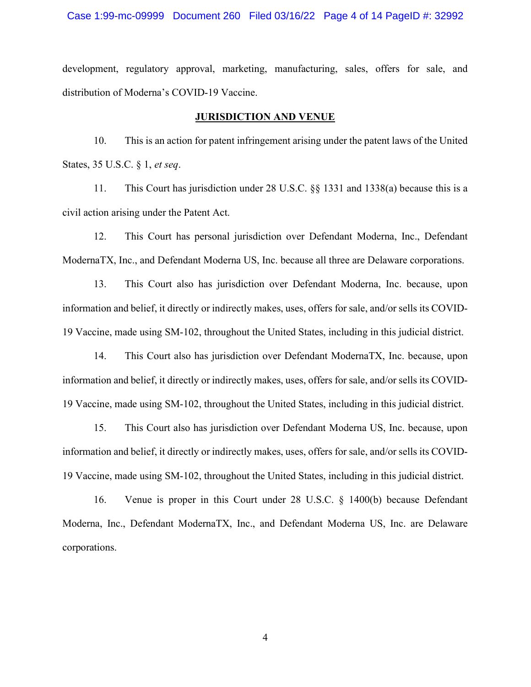#### Case 1:99-mc-09999 Document 260 Filed 03/16/22 Page 4 of 14 PageID #: 32992

development, regulatory approval, marketing, manufacturing, sales, offers for sale, and distribution of Moderna's COVID-19 Vaccine.

### JURISDICTION AND VENUE

10. This is an action for patent infringement arising under the patent laws of the United States, 35 U.S.C. § 1, et seq.

11. This Court has jurisdiction under 28 U.S.C. §§ 1331 and 1338(a) because this is a civil action arising under the Patent Act.

12. This Court has personal jurisdiction over Defendant Moderna, Inc., Defendant ModernaTX, Inc., and Defendant Moderna US, Inc. because all three are Delaware corporations.

13. This Court also has jurisdiction over Defendant Moderna, Inc. because, upon information and belief, it directly or indirectly makes, uses, offers for sale, and/or sells its COVID-19 Vaccine, made using SM-102, throughout the United States, including in this judicial district.

14. This Court also has jurisdiction over Defendant ModernaTX, Inc. because, upon information and belief, it directly or indirectly makes, uses, offers for sale, and/or sells its COVID-19 Vaccine, made using SM-102, throughout the United States, including in this judicial district.

15. This Court also has jurisdiction over Defendant Moderna US, Inc. because, upon information and belief, it directly or indirectly makes, uses, offers for sale, and/or sells its COVID-19 Vaccine, made using SM-102, throughout the United States, including in this judicial district.

16. Venue is proper in this Court under 28 U.S.C. § 1400(b) because Defendant Moderna, Inc., Defendant ModernaTX, Inc., and Defendant Moderna US, Inc. are Delaware corporations.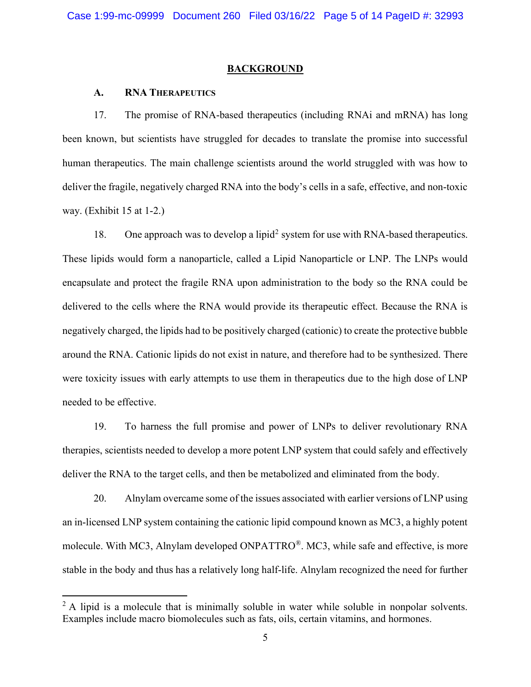## **BACKGROUND**

## A. RNA THERAPEUTICS

17. The promise of RNA-based therapeutics (including RNAi and mRNA) has long been known, but scientists have struggled for decades to translate the promise into successful human therapeutics. The main challenge scientists around the world struggled with was how to deliver the fragile, negatively charged RNA into the body's cells in a safe, effective, and non-toxic way. (Exhibit 15 at 1-2.)

18. One approach was to develop a lipid<sup>2</sup> system for use with RNA-based therapeutics. These lipids would form a nanoparticle, called a Lipid Nanoparticle or LNP. The LNPs would encapsulate and protect the fragile RNA upon administration to the body so the RNA could be delivered to the cells where the RNA would provide its therapeutic effect. Because the RNA is negatively charged, the lipids had to be positively charged (cationic) to create the protective bubble around the RNA. Cationic lipids do not exist in nature, and therefore had to be synthesized. There were toxicity issues with early attempts to use them in therapeutics due to the high dose of LNP needed to be effective.

19. To harness the full promise and power of LNPs to deliver revolutionary RNA therapies, scientists needed to develop a more potent LNP system that could safely and effectively deliver the RNA to the target cells, and then be metabolized and eliminated from the body.

20. Alnylam overcame some of the issues associated with earlier versions of LNP using an in-licensed LNP system containing the cationic lipid compound known as MC3, a highly potent molecule. With MC3, Alnylam developed ONPATTRO®. MC3, while safe and effective, is more stable in the body and thus has a relatively long half-life. Alnylam recognized the need for further

 $2$  A lipid is a molecule that is minimally soluble in water while soluble in nonpolar solvents. Examples include macro biomolecules such as fats, oils, certain vitamins, and hormones.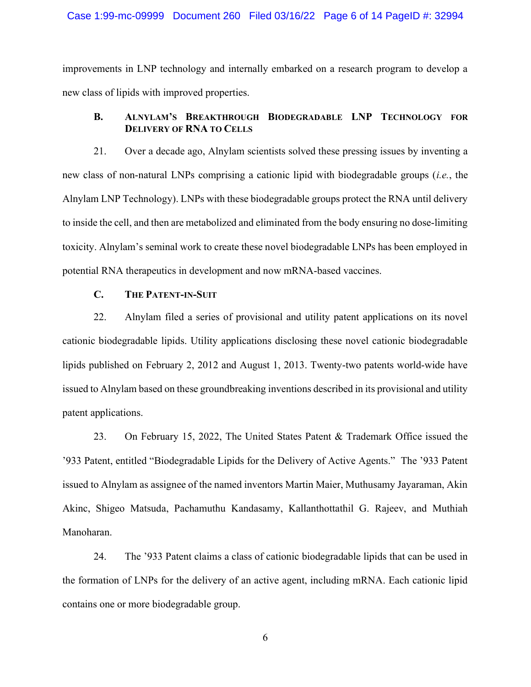#### Case 1:99-mc-09999 Document 260 Filed 03/16/22 Page 6 of 14 PageID #: 32994

improvements in LNP technology and internally embarked on a research program to develop a new class of lipids with improved properties.

# B. ALNYLAM'S BREAKTHROUGH BIODEGRADABLE LNP TECHNOLOGY FOR DELIVERY OF RNA TO CELLS

21. Over a decade ago, Alnylam scientists solved these pressing issues by inventing a new class of non-natural LNPs comprising a cationic lipid with biodegradable groups (i.e., the Alnylam LNP Technology). LNPs with these biodegradable groups protect the RNA until delivery to inside the cell, and then are metabolized and eliminated from the body ensuring no dose-limiting toxicity. Alnylam's seminal work to create these novel biodegradable LNPs has been employed in potential RNA therapeutics in development and now mRNA-based vaccines.

## C. THE PATENT-IN-SUIT

22. Alnylam filed a series of provisional and utility patent applications on its novel cationic biodegradable lipids. Utility applications disclosing these novel cationic biodegradable lipids published on February 2, 2012 and August 1, 2013. Twenty-two patents world-wide have issued to Alnylam based on these groundbreaking inventions described in its provisional and utility patent applications.

23. On February 15, 2022, The United States Patent & Trademark Office issued the '933 Patent, entitled "Biodegradable Lipids for the Delivery of Active Agents." The '933 Patent issued to Alnylam as assignee of the named inventors Martin Maier, Muthusamy Jayaraman, Akin Akinc, Shigeo Matsuda, Pachamuthu Kandasamy, Kallanthottathil G. Rajeev, and Muthiah Manoharan.

24. The '933 Patent claims a class of cationic biodegradable lipids that can be used in the formation of LNPs for the delivery of an active agent, including mRNA. Each cationic lipid contains one or more biodegradable group.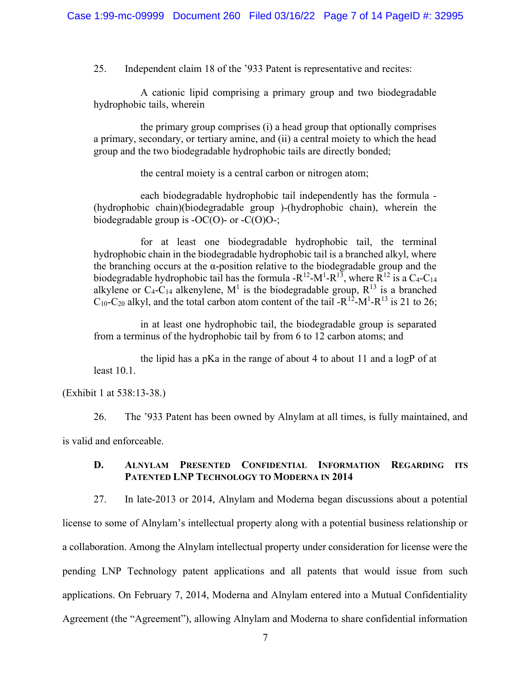25. Independent claim 18 of the '933 Patent is representative and recites:

A cationic lipid comprising a primary group and two biodegradable hydrophobic tails, wherein

the primary group comprises (i) a head group that optionally comprises a primary, secondary, or tertiary amine, and (ii) a central moiety to which the head group and the two biodegradable hydrophobic tails are directly bonded;

the central moiety is a central carbon or nitrogen atom;

each biodegradable hydrophobic tail independently has the formula - (hydrophobic chain)(biodegradable group )-(hydrophobic chain), wherein the biodegradable group is  $-OC(O)$ - or  $-C(O)O$ -;

for at least one biodegradable hydrophobic tail, the terminal hydrophobic chain in the biodegradable hydrophobic tail is a branched alkyl, where the branching occurs at the  $\alpha$ -position relative to the biodegradable group and the biodegradable hydrophobic tail has the formula - $R^{12}$ - $M^1$ - $R^{13}$ , where  $R^{12}$  is a C<sub>4</sub>-C<sub>14</sub> alkylene or C<sub>4</sub>-C<sub>14</sub> alkenylene, M<sup>1</sup> is the biodegradable group, R<sup>13</sup> is a branched  $C_{10}$ -C<sub>20</sub> alkyl, and the total carbon atom content of the tail -R<sup>12</sup>-M<sup>1</sup>-R<sup>13</sup> is 21 to 26;

in at least one hydrophobic tail, the biodegradable group is separated from a terminus of the hydrophobic tail by from 6 to 12 carbon atoms; and

the lipid has a pKa in the range of about 4 to about 11 and a logP of at least 10.1.

(Exhibit 1 at 538:13-38.)

26. The '933 Patent has been owned by Alnylam at all times, is fully maintained, and is valid and enforceable.

## D. ALNYLAM PRESENTED CONFIDENTIAL INFORMATION REGARDING ITS PATENTED LNP TECHNOLOGY TO MODERNA IN 2014

27. In late-2013 or 2014, Alnylam and Moderna began discussions about a potential license to some of Alnylam's intellectual property along with a potential business relationship or a collaboration. Among the Alnylam intellectual property under consideration for license were the pending LNP Technology patent applications and all patents that would issue from such applications. On February 7, 2014, Moderna and Alnylam entered into a Mutual Confidentiality Agreement (the "Agreement"), allowing Alnylam and Moderna to share confidential information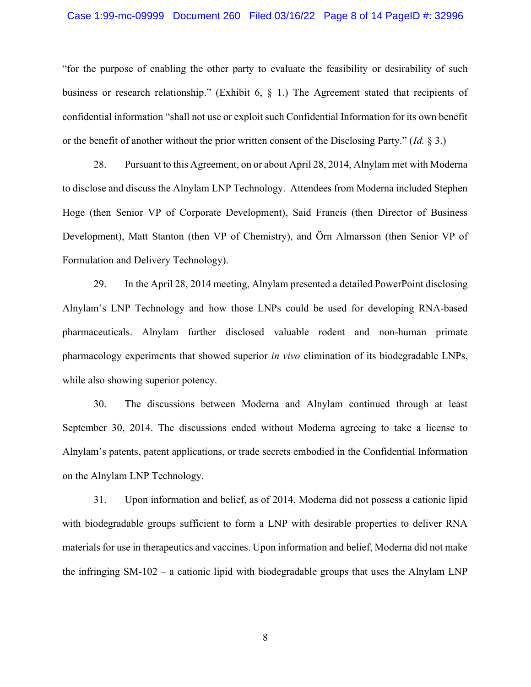#### Case 1:99-mc-09999 Document 260 Filed 03/16/22 Page 8 of 14 PageID #: 32996

"for the purpose of enabling the other party to evaluate the feasibility or desirability of such business or research relationship." (Exhibit 6, § 1.) The Agreement stated that recipients of confidential information "shall not use or exploit such Confidential Information for its own benefit or the benefit of another without the prior written consent of the Disclosing Party." (Id. § 3.)

28. Pursuant to this Agreement, on or about April 28, 2014, Alnylam met with Moderna to disclose and discuss the Alnylam LNP Technology. Attendees from Moderna included Stephen Hoge (then Senior VP of Corporate Development), Said Francis (then Director of Business Development), Matt Stanton (then VP of Chemistry), and Örn Almarsson (then Senior VP of Formulation and Delivery Technology).

29. In the April 28, 2014 meeting, Alnylam presented a detailed PowerPoint disclosing Alnylam's LNP Technology and how those LNPs could be used for developing RNA-based pharmaceuticals. Alnylam further disclosed valuable rodent and non-human primate pharmacology experiments that showed superior in vivo elimination of its biodegradable LNPs, while also showing superior potency.

30. The discussions between Moderna and Alnylam continued through at least September 30, 2014. The discussions ended without Moderna agreeing to take a license to Alnylam's patents, patent applications, or trade secrets embodied in the Confidential Information on the Alnylam LNP Technology.

31. Upon information and belief, as of 2014, Moderna did not possess a cationic lipid with biodegradable groups sufficient to form a LNP with desirable properties to deliver RNA materials for use in therapeutics and vaccines. Upon information and belief, Moderna did not make the infringing SM-102 – a cationic lipid with biodegradable groups that uses the Alnylam LNP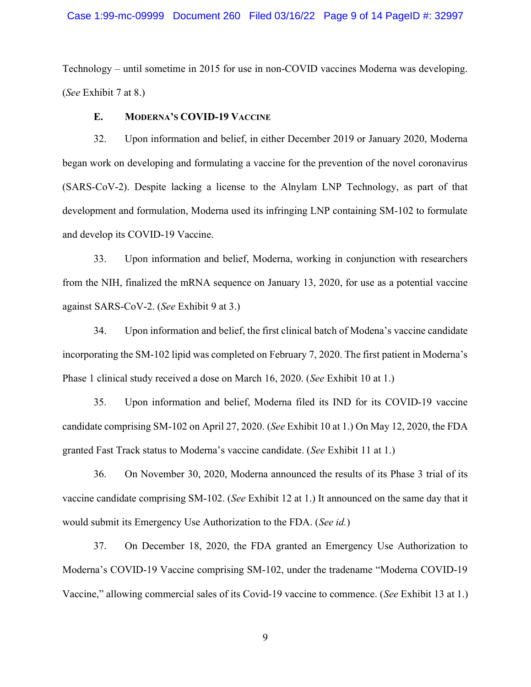## Case 1:99-mc-09999 Document 260 Filed 03/16/22 Page 9 of 14 PageID #: 32997

Technology – until sometime in 2015 for use in non-COVID vaccines Moderna was developing. (See Exhibit 7 at 8.)

## E. MODERNA'S COVID-19 VACCINE

32. Upon information and belief, in either December 2019 or January 2020, Moderna began work on developing and formulating a vaccine for the prevention of the novel coronavirus (SARS-CoV-2). Despite lacking a license to the Alnylam LNP Technology, as part of that development and formulation, Moderna used its infringing LNP containing SM-102 to formulate and develop its COVID-19 Vaccine.

33. Upon information and belief, Moderna, working in conjunction with researchers from the NIH, finalized the mRNA sequence on January 13, 2020, for use as a potential vaccine against SARS-CoV-2. (See Exhibit 9 at 3.)

34. Upon information and belief, the first clinical batch of Modena's vaccine candidate incorporating the SM-102 lipid was completed on February 7, 2020. The first patient in Moderna's Phase 1 clinical study received a dose on March 16, 2020. (See Exhibit 10 at 1.)

35. Upon information and belief, Moderna filed its IND for its COVID-19 vaccine candidate comprising SM-102 on April 27, 2020. (See Exhibit 10 at 1.) On May 12, 2020, the FDA granted Fast Track status to Moderna's vaccine candidate. (See Exhibit 11 at 1.)

36. On November 30, 2020, Moderna announced the results of its Phase 3 trial of its vaccine candidate comprising SM-102. (See Exhibit 12 at 1.) It announced on the same day that it would submit its Emergency Use Authorization to the FDA. (See id.)

37. On December 18, 2020, the FDA granted an Emergency Use Authorization to Moderna's COVID-19 Vaccine comprising SM-102, under the tradename "Moderna COVID-19 Vaccine," allowing commercial sales of its Covid-19 vaccine to commence. (See Exhibit 13 at 1.)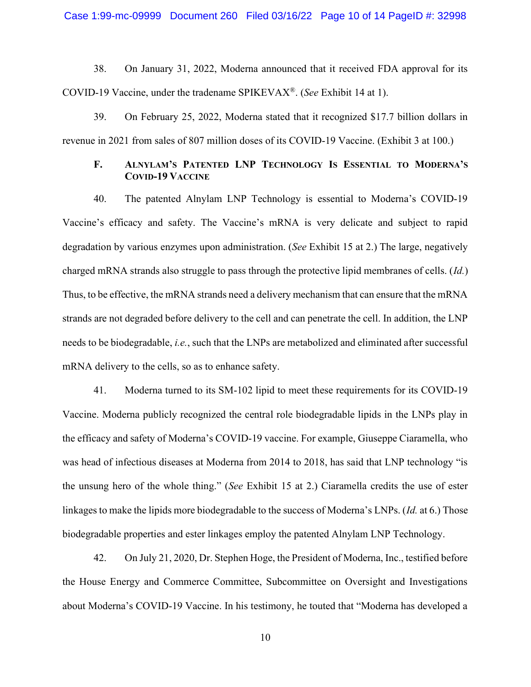Case 1:99-mc-09999 Document 260 Filed 03/16/22 Page 10 of 14 PageID #: 32998

38. On January 31, 2022, Moderna announced that it received FDA approval for its COVID-19 Vaccine, under the tradename SPIKEVAX®. (See Exhibit 14 at 1).

39. On February 25, 2022, Moderna stated that it recognized \$17.7 billion dollars in revenue in 2021 from sales of 807 million doses of its COVID-19 Vaccine. (Exhibit 3 at 100.)

# F. ALNYLAM'S PATENTED LNP TECHNOLOGY IS ESSENTIAL TO MODERNA'S COVID-19 VACCINE

40. The patented Alnylam LNP Technology is essential to Moderna's COVID-19 Vaccine's efficacy and safety. The Vaccine's mRNA is very delicate and subject to rapid degradation by various enzymes upon administration. (See Exhibit 15 at 2.) The large, negatively charged mRNA strands also struggle to pass through the protective lipid membranes of cells. (Id.) Thus, to be effective, the mRNA strands need a delivery mechanism that can ensure that the mRNA strands are not degraded before delivery to the cell and can penetrate the cell. In addition, the LNP needs to be biodegradable, i.e., such that the LNPs are metabolized and eliminated after successful mRNA delivery to the cells, so as to enhance safety.

41. Moderna turned to its SM-102 lipid to meet these requirements for its COVID-19 Vaccine. Moderna publicly recognized the central role biodegradable lipids in the LNPs play in the efficacy and safety of Moderna's COVID-19 vaccine. For example, Giuseppe Ciaramella, who was head of infectious diseases at Moderna from 2014 to 2018, has said that LNP technology "is the unsung hero of the whole thing." (See Exhibit 15 at 2.) Ciaramella credits the use of ester linkages to make the lipids more biodegradable to the success of Moderna's LNPs. (Id. at 6.) Those biodegradable properties and ester linkages employ the patented Alnylam LNP Technology.

42. On July 21, 2020, Dr. Stephen Hoge, the President of Moderna, Inc., testified before the House Energy and Commerce Committee, Subcommittee on Oversight and Investigations about Moderna's COVID-19 Vaccine. In his testimony, he touted that "Moderna has developed a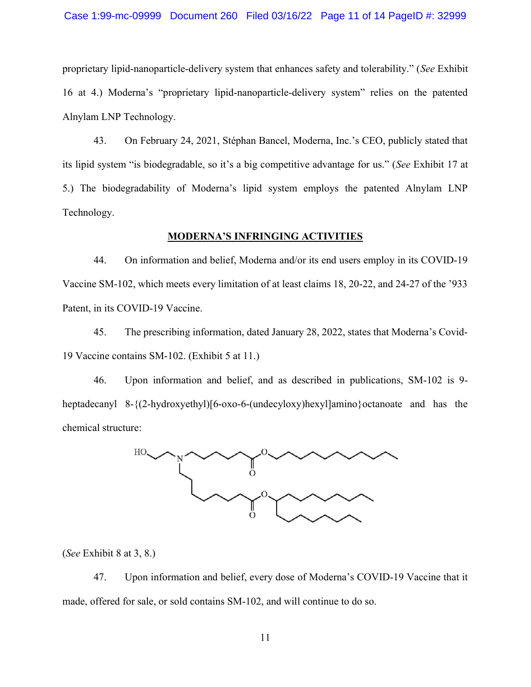### Case 1:99-mc-09999 Document 260 Filed 03/16/22 Page 11 of 14 PageID #: 32999

proprietary lipid-nanoparticle-delivery system that enhances safety and tolerability." (See Exhibit 16 at 4.) Moderna's "proprietary lipid-nanoparticle-delivery system" relies on the patented Alnylam LNP Technology.

43. On February 24, 2021, Stéphan Bancel, Moderna, Inc.'s CEO, publicly stated that its lipid system "is biodegradable, so it's a big competitive advantage for us." (See Exhibit 17 at 5.) The biodegradability of Moderna's lipid system employs the patented Alnylam LNP Technology.

## MODERNA'S INFRINGING ACTIVITIES

44. On information and belief, Moderna and/or its end users employ in its COVID-19 Vaccine SM-102, which meets every limitation of at least claims 18, 20-22, and 24-27 of the '933 Patent, in its COVID-19 Vaccine.

45. The prescribing information, dated January 28, 2022, states that Moderna's Covid-19 Vaccine contains SM-102. (Exhibit 5 at 11.)

46. Upon information and belief, and as described in publications, SM-102 is 9 heptadecanyl 8-{(2-hydroxyethyl)[6-oxo-6-(undecyloxy)hexyl]amino}octanoate and has the chemical structure:



(See Exhibit 8 at 3, 8.)

47. Upon information and belief, every dose of Moderna's COVID-19 Vaccine that it made, offered for sale, or sold contains SM-102, and will continue to do so.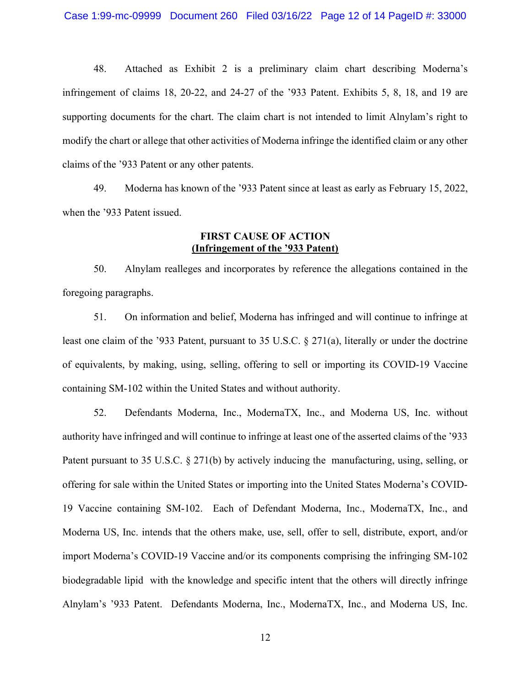48. Attached as Exhibit 2 is a preliminary claim chart describing Moderna's infringement of claims 18, 20-22, and 24-27 of the '933 Patent. Exhibits 5, 8, 18, and 19 are supporting documents for the chart. The claim chart is not intended to limit Alnylam's right to modify the chart or allege that other activities of Moderna infringe the identified claim or any other claims of the '933 Patent or any other patents.

49. Moderna has known of the '933 Patent since at least as early as February 15, 2022, when the '933 Patent issued.

# FIRST CAUSE OF ACTION (Infringement of the '933 Patent)

50. Alnylam realleges and incorporates by reference the allegations contained in the foregoing paragraphs.

51. On information and belief, Moderna has infringed and will continue to infringe at least one claim of the '933 Patent, pursuant to 35 U.S.C. § 271(a), literally or under the doctrine of equivalents, by making, using, selling, offering to sell or importing its COVID-19 Vaccine containing SM-102 within the United States and without authority.

52. Defendants Moderna, Inc., ModernaTX, Inc., and Moderna US, Inc. without authority have infringed and will continue to infringe at least one of the asserted claims of the '933 Patent pursuant to 35 U.S.C. § 271(b) by actively inducing the manufacturing, using, selling, or offering for sale within the United States or importing into the United States Moderna's COVID-19 Vaccine containing SM-102. Each of Defendant Moderna, Inc., ModernaTX, Inc., and Moderna US, Inc. intends that the others make, use, sell, offer to sell, distribute, export, and/or import Moderna's COVID-19 Vaccine and/or its components comprising the infringing SM-102 biodegradable lipid with the knowledge and specific intent that the others will directly infringe Alnylam's '933 Patent. Defendants Moderna, Inc., ModernaTX, Inc., and Moderna US, Inc.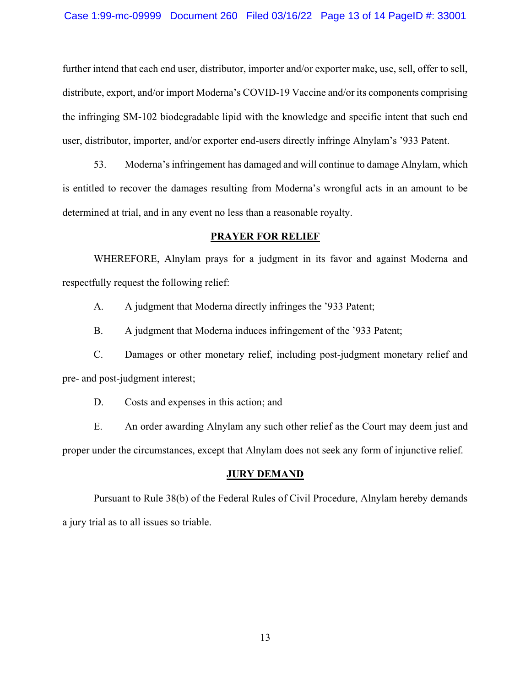### Case 1:99-mc-09999 Document 260 Filed 03/16/22 Page 13 of 14 PageID #: 33001

further intend that each end user, distributor, importer and/or exporter make, use, sell, offer to sell, distribute, export, and/or import Moderna's COVID-19 Vaccine and/or its components comprising the infringing SM-102 biodegradable lipid with the knowledge and specific intent that such end user, distributor, importer, and/or exporter end-users directly infringe Alnylam's '933 Patent.

53. Moderna's infringement has damaged and will continue to damage Alnylam, which is entitled to recover the damages resulting from Moderna's wrongful acts in an amount to be determined at trial, and in any event no less than a reasonable royalty.

## PRAYER FOR RELIEF

 WHEREFORE, Alnylam prays for a judgment in its favor and against Moderna and respectfully request the following relief:

A. A judgment that Moderna directly infringes the '933 Patent;

B. A judgment that Moderna induces infringement of the '933 Patent;

C. Damages or other monetary relief, including post-judgment monetary relief and pre- and post-judgment interest;

D. Costs and expenses in this action; and

E. An order awarding Alnylam any such other relief as the Court may deem just and proper under the circumstances, except that Alnylam does not seek any form of injunctive relief.

## **JURY DEMAND**

 Pursuant to Rule 38(b) of the Federal Rules of Civil Procedure, Alnylam hereby demands a jury trial as to all issues so triable.